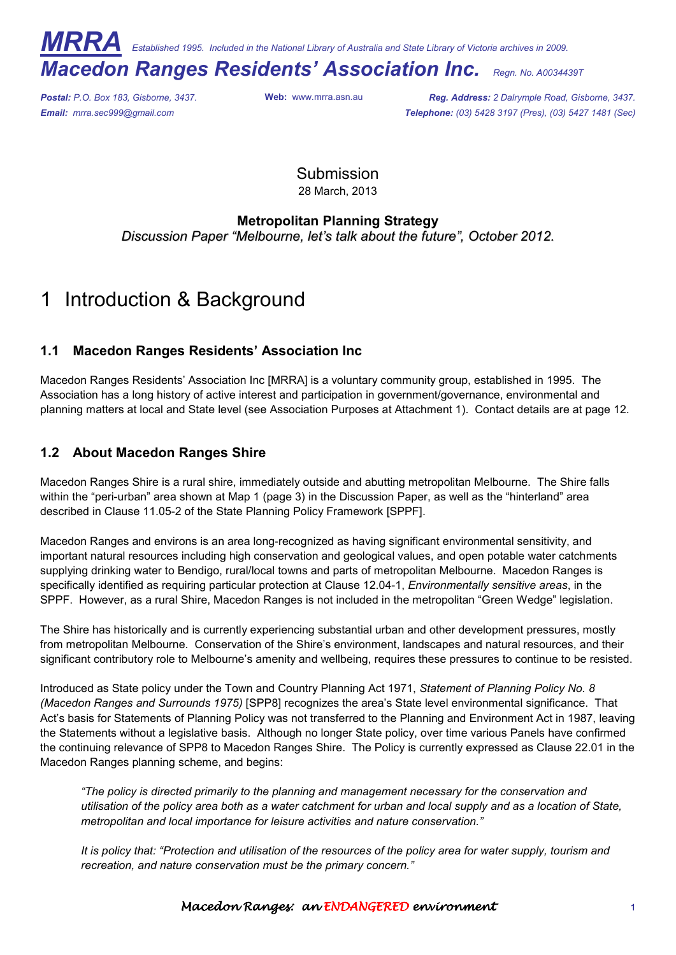*MRRA Established 1995. Included in the National Library of Australia and State Library of Victoria archives in 2009.* 

# *Macedon Ranges Residents' Association Inc. Regn. No. A0034439T*

*Postal: P.O. Box 183, Gisborne, 3437.* **Web:** www.mrra.asn.au *Reg. Address: 2 Dalrymple Road, Gisborne, 3437. Email: mrra.sec999@gmail.com Telephone: (03) 5428 3197 (Pres), (03) 5427 1481 (Sec)*

> Submission 28 March, 2013

### **Metropolitan Planning Strategy**

*Discussion Paper "Melbourne, let's talk about the future", October 2012.*

# Introduction & Background

## **1.1 Macedon Ranges Residents' Association Inc**

Macedon Ranges Residents' Association Inc [MRRA] is a voluntary community group, established in 1995. The Association has a long history of active interest and participation in government/governance, environmental and planning matters at local and State level (see Association Purposes at Attachment 1). Contact details are at page 12.

## **1.2 About Macedon Ranges Shire**

Macedon Ranges Shire is a rural shire, immediately outside and abutting metropolitan Melbourne. The Shire falls within the "peri-urban" area shown at Map 1 (page 3) in the Discussion Paper, as well as the "hinterland" area described in Clause 11.05-2 of the State Planning Policy Framework [SPPF].

Macedon Ranges and environs is an area long-recognized as having significant environmental sensitivity, and important natural resources including high conservation and geological values, and open potable water catchments supplying drinking water to Bendigo, rural/local towns and parts of metropolitan Melbourne. Macedon Ranges is specifically identified as requiring particular protection at Clause 12.04-1, *Environmentally sensitive areas*, in the SPPF. However, as a rural Shire, Macedon Ranges is not included in the metropolitan "Green Wedge" legislation.

The Shire has historically and is currently experiencing substantial urban and other development pressures, mostly from metropolitan Melbourne. Conservation of the Shire's environment, landscapes and natural resources, and their significant contributory role to Melbourne's amenity and wellbeing, requires these pressures to continue to be resisted.

Introduced as State policy under the Town and Country Planning Act 1971, *Statement of Planning Policy No. 8 (Macedon Ranges and Surrounds 1975)* [SPP8] recognizes the area's State level environmental significance. That Act's basis for Statements of Planning Policy was not transferred to the Planning and Environment Act in 1987, leaving the Statements without a legislative basis. Although no longer State policy, over time various Panels have confirmed the continuing relevance of SPP8 to Macedon Ranges Shire. The Policy is currently expressed as Clause 22.01 in the Macedon Ranges planning scheme, and begins:

*"The policy is directed primarily to the planning and management necessary for the conservation and utilisation of the policy area both as a water catchment for urban and local supply and as a location of State, metropolitan and local importance for leisure activities and nature conservation."* 

*It is policy that: "Protection and utilisation of the resources of the policy area for water supply, tourism and recreation, and nature conservation must be the primary concern."* 

#### Macedon Ranges: an ENDANGERED environment environment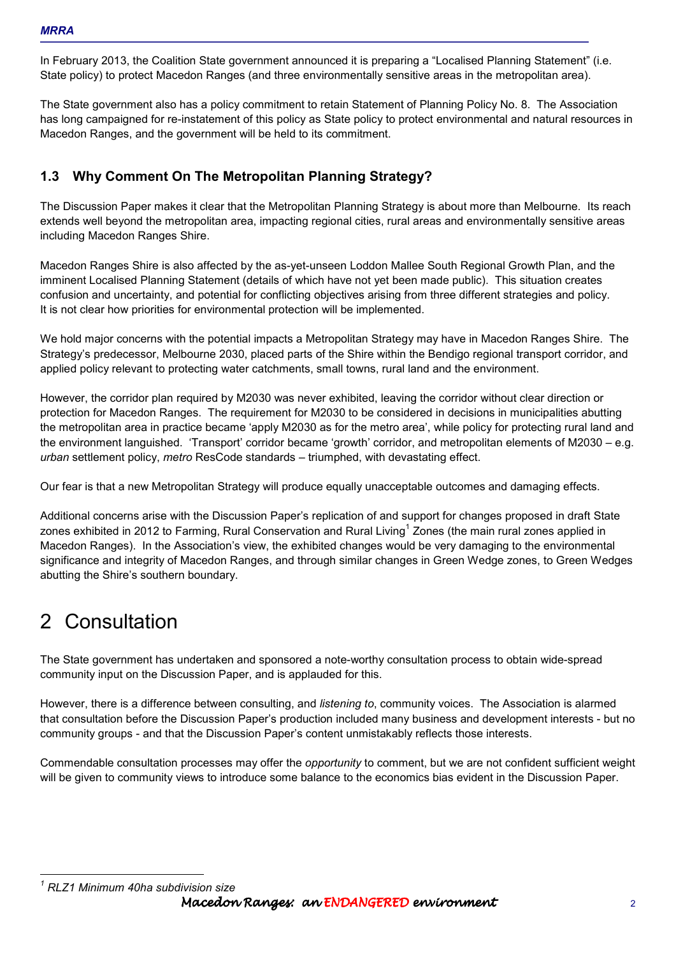In February 2013, the Coalition State government announced it is preparing a "Localised Planning Statement" (i.e. State policy) to protect Macedon Ranges (and three environmentally sensitive areas in the metropolitan area).

The State government also has a policy commitment to retain Statement of Planning Policy No. 8. The Association has long campaigned for re-instatement of this policy as State policy to protect environmental and natural resources in Macedon Ranges, and the government will be held to its commitment.

# **1.3 Why Comment On The Metropolitan Planning Strategy?**

The Discussion Paper makes it clear that the Metropolitan Planning Strategy is about more than Melbourne. Its reach extends well beyond the metropolitan area, impacting regional cities, rural areas and environmentally sensitive areas including Macedon Ranges Shire.

Macedon Ranges Shire is also affected by the as-yet-unseen Loddon Mallee South Regional Growth Plan, and the imminent Localised Planning Statement (details of which have not yet been made public). This situation creates confusion and uncertainty, and potential for conflicting objectives arising from three different strategies and policy. It is not clear how priorities for environmental protection will be implemented.

We hold major concerns with the potential impacts a Metropolitan Strategy may have in Macedon Ranges Shire. The Strategy's predecessor, Melbourne 2030, placed parts of the Shire within the Bendigo regional transport corridor, and applied policy relevant to protecting water catchments, small towns, rural land and the environment.

However, the corridor plan required by M2030 was never exhibited, leaving the corridor without clear direction or protection for Macedon Ranges. The requirement for M2030 to be considered in decisions in municipalities abutting the metropolitan area in practice became 'apply M2030 as for the metro area', while policy for protecting rural land and the environment languished. 'Transport' corridor became 'growth' corridor, and metropolitan elements of M2030 – e.g. *urban* settlement policy, *metro* ResCode standards – triumphed, with devastating effect.

Our fear is that a new Metropolitan Strategy will produce equally unacceptable outcomes and damaging effects.

Additional concerns arise with the Discussion Paper's replication of and support for changes proposed in draft State zones exhibited in 2012 to Farming, Rural Conservation and Rural Living<sup>1</sup> Zones (the main rural zones applied in Macedon Ranges). In the Association's view, the exhibited changes would be very damaging to the environmental significance and integrity of Macedon Ranges, and through similar changes in Green Wedge zones, to Green Wedges abutting the Shire's southern boundary.

# 2 Consultation

l

The State government has undertaken and sponsored a note-worthy consultation process to obtain wide-spread community input on the Discussion Paper, and is applauded for this.

However, there is a difference between consulting, and *listening to*, community voices. The Association is alarmed that consultation before the Discussion Paper's production included many business and development interests - but no community groups - and that the Discussion Paper's content unmistakably reflects those interests.

Commendable consultation processes may offer the *opportunity* to comment, but we are not confident sufficient weight will be given to community views to introduce some balance to the economics bias evident in the Discussion Paper.

Macedon Ranges: an ENDANGERED environment environment *1 RLZ1 Minimum 40ha subdivision size*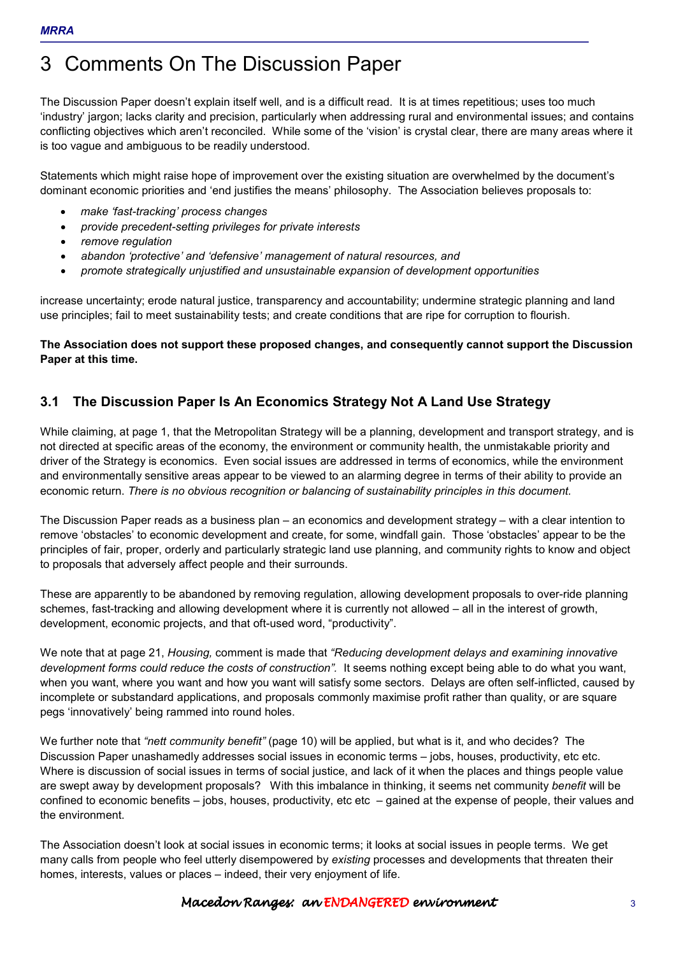# 3 Comments On The Discussion Paper

The Discussion Paper doesn't explain itself well, and is a difficult read. It is at times repetitious; uses too much 'industry' jargon; lacks clarity and precision, particularly when addressing rural and environmental issues; and contains conflicting objectives which aren't reconciled. While some of the 'vision' is crystal clear, there are many areas where it is too vague and ambiguous to be readily understood.

Statements which might raise hope of improvement over the existing situation are overwhelmed by the document's dominant economic priorities and 'end justifies the means' philosophy. The Association believes proposals to:

- *make 'fast-tracking' process changes*
- *provide precedent-setting privileges for private interests*
- *remove regulation*
- *abandon 'protective' and 'defensive' management of natural resources, and*
- *promote strategically unjustified and unsustainable expansion of development opportunities*

increase uncertainty; erode natural justice, transparency and accountability; undermine strategic planning and land use principles; fail to meet sustainability tests; and create conditions that are ripe for corruption to flourish.

**The Association does not support these proposed changes, and consequently cannot support the Discussion Paper at this time.** 

# **3.1 The Discussion Paper Is An Economics Strategy Not A Land Use Strategy**

While claiming, at page 1, that the Metropolitan Strategy will be a planning, development and transport strategy, and is not directed at specific areas of the economy, the environment or community health, the unmistakable priority and driver of the Strategy is economics. Even social issues are addressed in terms of economics, while the environment and environmentally sensitive areas appear to be viewed to an alarming degree in terms of their ability to provide an economic return. *There is no obvious recognition or balancing of sustainability principles in this document.*

The Discussion Paper reads as a business plan – an economics and development strategy – with a clear intention to remove 'obstacles' to economic development and create, for some, windfall gain. Those 'obstacles' appear to be the principles of fair, proper, orderly and particularly strategic land use planning, and community rights to know and object to proposals that adversely affect people and their surrounds.

These are apparently to be abandoned by removing regulation, allowing development proposals to over-ride planning schemes, fast-tracking and allowing development where it is currently not allowed – all in the interest of growth, development, economic projects, and that oft-used word, "productivity".

We note that at page 21, *Housing,* comment is made that *"Reducing development delays and examining innovative development forms could reduce the costs of construction".* It seems nothing except being able to do what you want, when you want, where you want and how you want will satisfy some sectors. Delays are often self-inflicted, caused by incomplete or substandard applications, and proposals commonly maximise profit rather than quality, or are square pegs 'innovatively' being rammed into round holes.

We further note that *"nett community benefit"* (page 10) will be applied, but what is it, and who decides? The Discussion Paper unashamedly addresses social issues in economic terms – jobs, houses, productivity, etc etc. Where is discussion of social issues in terms of social justice, and lack of it when the places and things people value are swept away by development proposals? With this imbalance in thinking, it seems net community *benefit* will be confined to economic benefits – jobs, houses, productivity, etc etc – gained at the expense of people, their values and the environment.

The Association doesn't look at social issues in economic terms; it looks at social issues in people terms. We get many calls from people who feel utterly disempowered by *existing* processes and developments that threaten their homes, interests, values or places – indeed, their very enjoyment of life.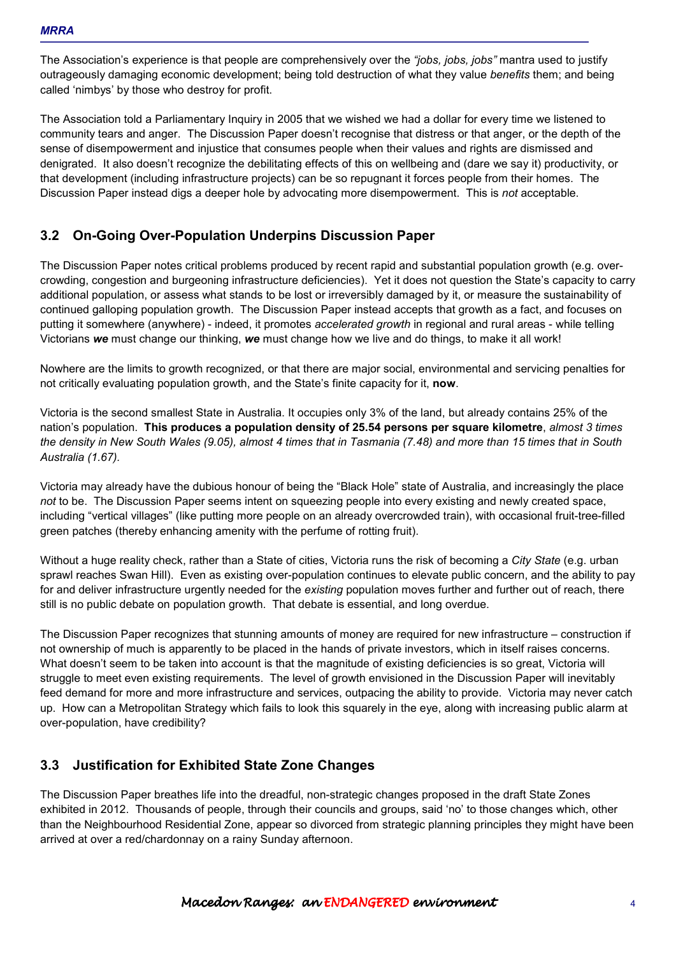The Association's experience is that people are comprehensively over the *"jobs, jobs, jobs"* mantra used to justify outrageously damaging economic development; being told destruction of what they value *benefits* them; and being called 'nimbys' by those who destroy for profit.

The Association told a Parliamentary Inquiry in 2005 that we wished we had a dollar for every time we listened to community tears and anger. The Discussion Paper doesn't recognise that distress or that anger, or the depth of the sense of disempowerment and injustice that consumes people when their values and rights are dismissed and denigrated. It also doesn't recognize the debilitating effects of this on wellbeing and (dare we say it) productivity, or that development (including infrastructure projects) can be so repugnant it forces people from their homes. The Discussion Paper instead digs a deeper hole by advocating more disempowerment. This is *not* acceptable.

# **3.2 On-Going Over-Population Underpins Discussion Paper**

The Discussion Paper notes critical problems produced by recent rapid and substantial population growth (e.g. overcrowding, congestion and burgeoning infrastructure deficiencies). Yet it does not question the State's capacity to carry additional population, or assess what stands to be lost or irreversibly damaged by it, or measure the sustainability of continued galloping population growth. The Discussion Paper instead accepts that growth as a fact, and focuses on putting it somewhere (anywhere) - indeed, it promotes *accelerated growth* in regional and rural areas - while telling Victorians *we* must change our thinking, *we* must change how we live and do things, to make it all work!

Nowhere are the limits to growth recognized, or that there are major social, environmental and servicing penalties for not critically evaluating population growth, and the State's finite capacity for it, **now**.

Victoria is the second smallest State in Australia. It occupies only 3% of the land, but already contains 25% of the nation's population. **This produces a population density of 25.54 persons per square kilometre**, *almost 3 times the density in New South Wales (9.05), almost 4 times that in Tasmania (7.48) and more than 15 times that in South Australia (1.67).* 

Victoria may already have the dubious honour of being the "Black Hole" state of Australia, and increasingly the place *not* to be. The Discussion Paper seems intent on squeezing people into every existing and newly created space, including "vertical villages" (like putting more people on an already overcrowded train), with occasional fruit-tree-filled green patches (thereby enhancing amenity with the perfume of rotting fruit).

Without a huge reality check, rather than a State of cities, Victoria runs the risk of becoming a *City State* (e.g. urban sprawl reaches Swan Hill). Even as existing over-population continues to elevate public concern, and the ability to pay for and deliver infrastructure urgently needed for the *existing* population moves further and further out of reach, there still is no public debate on population growth. That debate is essential, and long overdue.

The Discussion Paper recognizes that stunning amounts of money are required for new infrastructure – construction if not ownership of much is apparently to be placed in the hands of private investors, which in itself raises concerns. What doesn't seem to be taken into account is that the magnitude of existing deficiencies is so great, Victoria will struggle to meet even existing requirements. The level of growth envisioned in the Discussion Paper will inevitably feed demand for more and more infrastructure and services, outpacing the ability to provide. Victoria may never catch up. How can a Metropolitan Strategy which fails to look this squarely in the eye, along with increasing public alarm at over-population, have credibility?

## **3.3 Justification for Exhibited State Zone Changes**

The Discussion Paper breathes life into the dreadful, non-strategic changes proposed in the draft State Zones exhibited in 2012. Thousands of people, through their councils and groups, said 'no' to those changes which, other than the Neighbourhood Residential Zone, appear so divorced from strategic planning principles they might have been arrived at over a red/chardonnay on a rainy Sunday afternoon.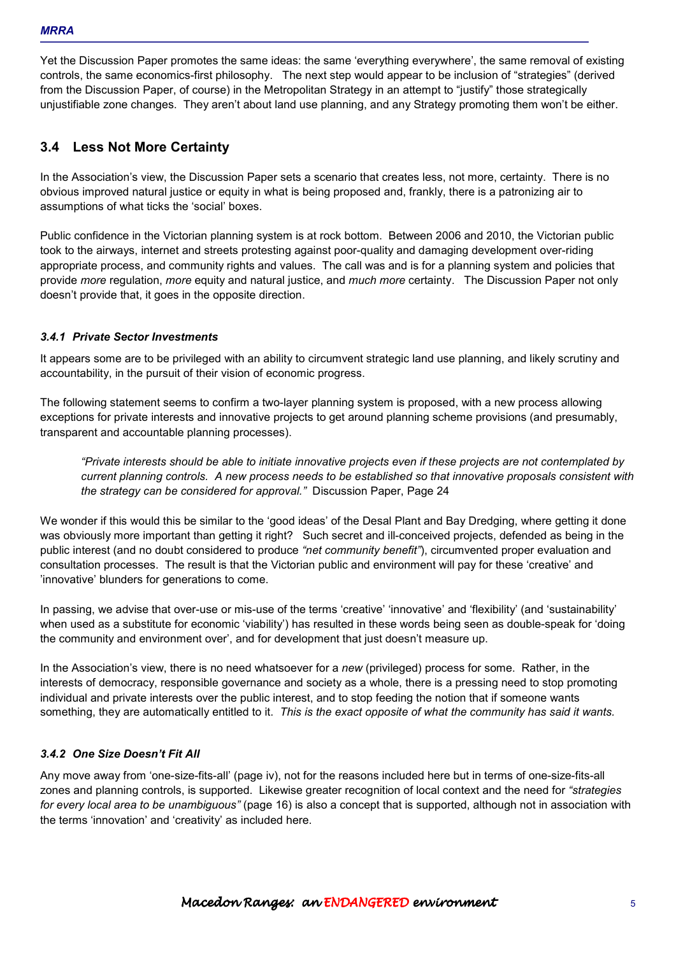Yet the Discussion Paper promotes the same ideas: the same 'everything everywhere', the same removal of existing controls, the same economics-first philosophy. The next step would appear to be inclusion of "strategies" (derived from the Discussion Paper, of course) in the Metropolitan Strategy in an attempt to "justify" those strategically unjustifiable zone changes. They aren't about land use planning, and any Strategy promoting them won't be either.

# **3.4 Less Not More Certainty**

In the Association's view, the Discussion Paper sets a scenario that creates less, not more, certainty. There is no obvious improved natural justice or equity in what is being proposed and, frankly, there is a patronizing air to assumptions of what ticks the 'social' boxes.

Public confidence in the Victorian planning system is at rock bottom. Between 2006 and 2010, the Victorian public took to the airways, internet and streets protesting against poor-quality and damaging development over-riding appropriate process, and community rights and values. The call was and is for a planning system and policies that provide *more* regulation, *more* equity and natural justice, and *much more* certainty. The Discussion Paper not only doesn't provide that, it goes in the opposite direction.

### *3.4.1 Private Sector Investments*

It appears some are to be privileged with an ability to circumvent strategic land use planning, and likely scrutiny and accountability, in the pursuit of their vision of economic progress.

The following statement seems to confirm a two-layer planning system is proposed, with a new process allowing exceptions for private interests and innovative projects to get around planning scheme provisions (and presumably, transparent and accountable planning processes).

*"Private interests should be able to initiate innovative projects even if these projects are not contemplated by current planning controls. A new process needs to be established so that innovative proposals consistent with the strategy can be considered for approval."* Discussion Paper, Page 24

We wonder if this would this be similar to the 'good ideas' of the Desal Plant and Bay Dredging, where getting it done was obviously more important than getting it right? Such secret and ill-conceived projects, defended as being in the public interest (and no doubt considered to produce *"net community benefit"*), circumvented proper evaluation and consultation processes. The result is that the Victorian public and environment will pay for these 'creative' and 'innovative' blunders for generations to come.

In passing, we advise that over-use or mis-use of the terms 'creative' 'innovative' and 'flexibility' (and 'sustainability' when used as a substitute for economic 'viability') has resulted in these words being seen as double-speak for 'doing the community and environment over', and for development that just doesn't measure up.

In the Association's view, there is no need whatsoever for a *new* (privileged) process for some. Rather, in the interests of democracy, responsible governance and society as a whole, there is a pressing need to stop promoting individual and private interests over the public interest, and to stop feeding the notion that if someone wants something, they are automatically entitled to it. *This is the exact opposite of what the community has said it wants.* 

#### *3.4.2 One Size Doesn't Fit All*

Any move away from 'one-size-fits-all' (page iv), not for the reasons included here but in terms of one-size-fits-all zones and planning controls, is supported. Likewise greater recognition of local context and the need for *"strategies for every local area to be unambiguous"* (page 16) is also a concept that is supported, although not in association with the terms 'innovation' and 'creativity' as included here.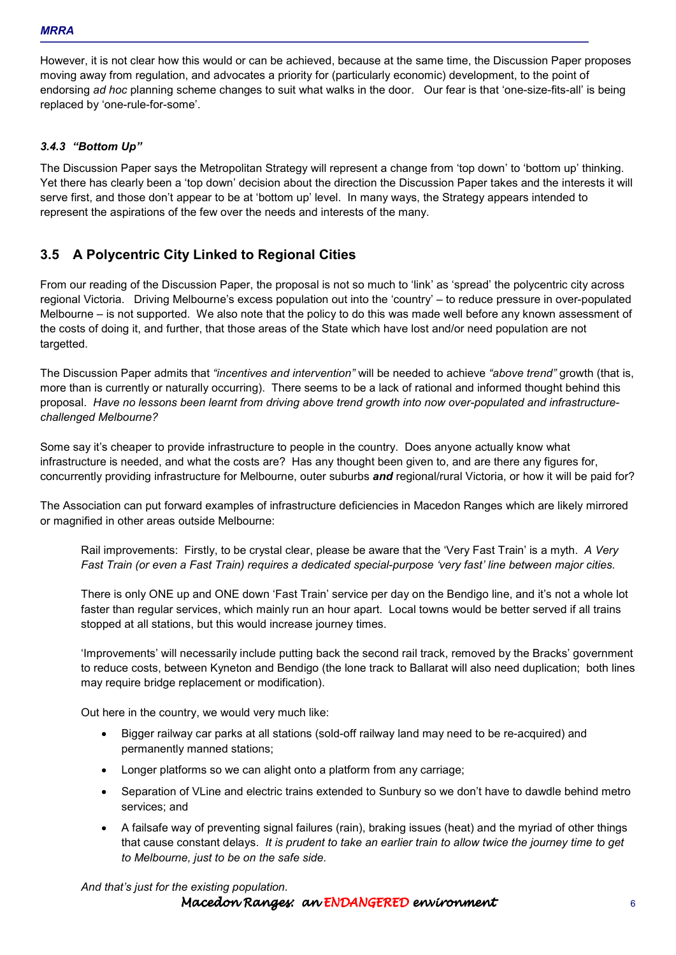However, it is not clear how this would or can be achieved, because at the same time, the Discussion Paper proposes moving away from regulation, and advocates a priority for (particularly economic) development, to the point of endorsing *ad hoc* planning scheme changes to suit what walks in the door. Our fear is that 'one-size-fits-all' is being replaced by 'one-rule-for-some'.

### *3.4.3 "Bottom Up"*

The Discussion Paper says the Metropolitan Strategy will represent a change from 'top down' to 'bottom up' thinking. Yet there has clearly been a 'top down' decision about the direction the Discussion Paper takes and the interests it will serve first, and those don't appear to be at 'bottom up' level. In many ways, the Strategy appears intended to represent the aspirations of the few over the needs and interests of the many.

## **3.5 A Polycentric City Linked to Regional Cities**

From our reading of the Discussion Paper, the proposal is not so much to 'link' as 'spread' the polycentric city across regional Victoria. Driving Melbourne's excess population out into the 'country' – to reduce pressure in over-populated Melbourne – is not supported. We also note that the policy to do this was made well before any known assessment of the costs of doing it, and further, that those areas of the State which have lost and/or need population are not targetted.

The Discussion Paper admits that *"incentives and intervention"* will be needed to achieve *"above trend"* growth (that is, more than is currently or naturally occurring). There seems to be a lack of rational and informed thought behind this proposal. *Have no lessons been learnt from driving above trend growth into now over-populated and infrastructurechallenged Melbourne?*

Some say it's cheaper to provide infrastructure to people in the country. Does anyone actually know what infrastructure is needed, and what the costs are? Has any thought been given to, and are there any figures for, concurrently providing infrastructure for Melbourne, outer suburbs *and* regional/rural Victoria, or how it will be paid for?

The Association can put forward examples of infrastructure deficiencies in Macedon Ranges which are likely mirrored or magnified in other areas outside Melbourne:

Rail improvements: Firstly, to be crystal clear, please be aware that the 'Very Fast Train' is a myth. *A Very Fast Train (or even a Fast Train) requires a dedicated special-purpose 'very fast' line between major cities.*

There is only ONE up and ONE down 'Fast Train' service per day on the Bendigo line, and it's not a whole lot faster than regular services, which mainly run an hour apart. Local towns would be better served if all trains stopped at all stations, but this would increase journey times.

'Improvements' will necessarily include putting back the second rail track, removed by the Bracks' government to reduce costs, between Kyneton and Bendigo (the lone track to Ballarat will also need duplication; both lines may require bridge replacement or modification).

Out here in the country, we would very much like:

- Bigger railway car parks at all stations (sold-off railway land may need to be re-acquired) and permanently manned stations;
- Longer platforms so we can alight onto a platform from any carriage:
- Separation of VLine and electric trains extended to Sunbury so we don't have to dawdle behind metro services; and
- A failsafe way of preventing signal failures (rain), braking issues (heat) and the myriad of other things that cause constant delays. *It is prudent to take an earlier train to allow twice the journey time to get to Melbourne, just to be on the safe side.*

*And that's just for the existing population.* 

Macedon Ranges: an ENDANGERED environment 6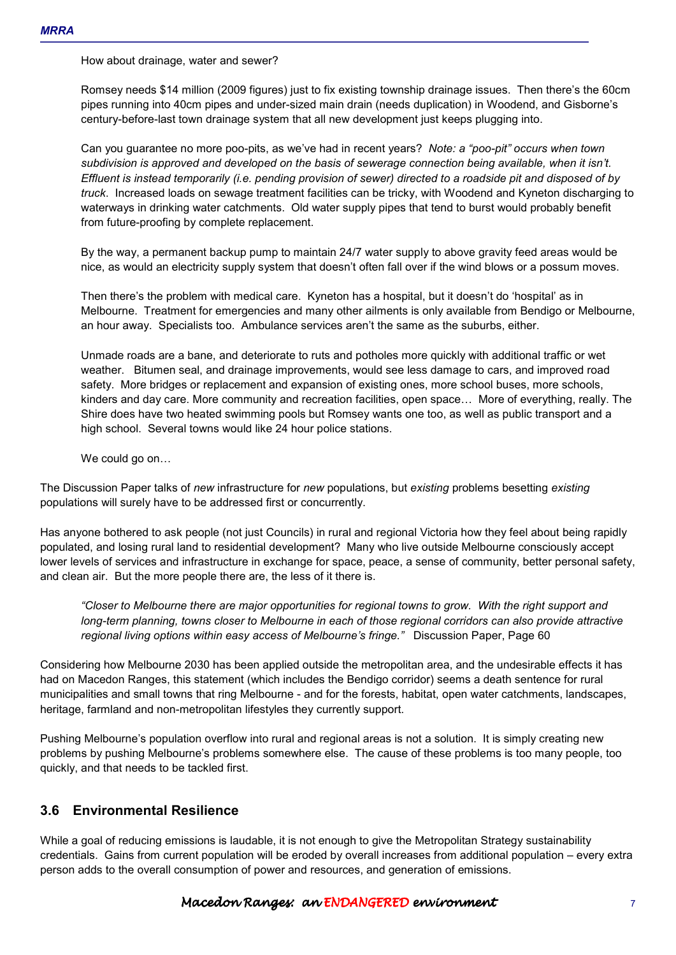How about drainage, water and sewer?

Romsey needs \$14 million (2009 figures) just to fix existing township drainage issues. Then there's the 60cm pipes running into 40cm pipes and under-sized main drain (needs duplication) in Woodend, and Gisborne's century-before-last town drainage system that all new development just keeps plugging into.

Can you guarantee no more poo-pits, as we've had in recent years? *Note: a "poo-pit" occurs when town subdivision is approved and developed on the basis of sewerage connection being available, when it isn't. Effluent is instead temporarily (i.e. pending provision of sewer) directed to a roadside pit and disposed of by truck*. Increased loads on sewage treatment facilities can be tricky, with Woodend and Kyneton discharging to waterways in drinking water catchments. Old water supply pipes that tend to burst would probably benefit from future-proofing by complete replacement.

By the way, a permanent backup pump to maintain 24/7 water supply to above gravity feed areas would be nice, as would an electricity supply system that doesn't often fall over if the wind blows or a possum moves.

Then there's the problem with medical care. Kyneton has a hospital, but it doesn't do 'hospital' as in Melbourne. Treatment for emergencies and many other ailments is only available from Bendigo or Melbourne, an hour away. Specialists too. Ambulance services aren't the same as the suburbs, either.

Unmade roads are a bane, and deteriorate to ruts and potholes more quickly with additional traffic or wet weather. Bitumen seal, and drainage improvements, would see less damage to cars, and improved road safety. More bridges or replacement and expansion of existing ones, more school buses, more schools, kinders and day care. More community and recreation facilities, open space... More of everything, really. The Shire does have two heated swimming pools but Romsey wants one too, as well as public transport and a high school. Several towns would like 24 hour police stations.

We could go on...

The Discussion Paper talks of *new* infrastructure for *new* populations, but *existing* problems besetting *existing* populations will surely have to be addressed first or concurrently.

Has anyone bothered to ask people (not just Councils) in rural and regional Victoria how they feel about being rapidly populated, and losing rural land to residential development? Many who live outside Melbourne consciously accept lower levels of services and infrastructure in exchange for space, peace, a sense of community, better personal safety, and clean air. But the more people there are, the less of it there is.

*"Closer to Melbourne there are major opportunities for regional towns to grow. With the right support and long-term planning, towns closer to Melbourne in each of those regional corridors can also provide attractive regional living options within easy access of Melbourne's fringe."* Discussion Paper, Page 60

Considering how Melbourne 2030 has been applied outside the metropolitan area, and the undesirable effects it has had on Macedon Ranges, this statement (which includes the Bendigo corridor) seems a death sentence for rural municipalities and small towns that ring Melbourne - and for the forests, habitat, open water catchments, landscapes, heritage, farmland and non-metropolitan lifestyles they currently support.

Pushing Melbourne's population overflow into rural and regional areas is not a solution. It is simply creating new problems by pushing Melbourne's problems somewhere else. The cause of these problems is too many people, too quickly, and that needs to be tackled first.

# **3.6 Environmental Resilience**

While a goal of reducing emissions is laudable, it is not enough to give the Metropolitan Strategy sustainability credentials. Gains from current population will be eroded by overall increases from additional population – every extra person adds to the overall consumption of power and resources, and generation of emissions.

## Macedon Ranges: an ENDANGERED environment 7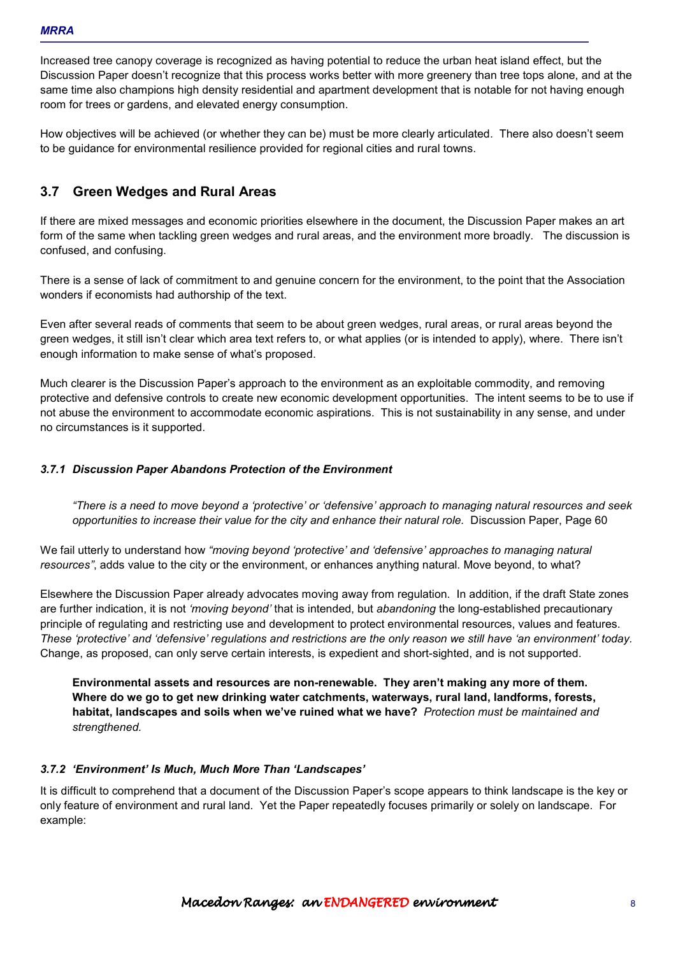Increased tree canopy coverage is recognized as having potential to reduce the urban heat island effect, but the Discussion Paper doesn't recognize that this process works better with more greenery than tree tops alone, and at the same time also champions high density residential and apartment development that is notable for not having enough room for trees or gardens, and elevated energy consumption.

How objectives will be achieved (or whether they can be) must be more clearly articulated. There also doesn't seem to be guidance for environmental resilience provided for regional cities and rural towns.

## **3.7 Green Wedges and Rural Areas**

If there are mixed messages and economic priorities elsewhere in the document, the Discussion Paper makes an art form of the same when tackling green wedges and rural areas, and the environment more broadly. The discussion is confused, and confusing.

There is a sense of lack of commitment to and genuine concern for the environment, to the point that the Association wonders if economists had authorship of the text.

Even after several reads of comments that seem to be about green wedges, rural areas, or rural areas beyond the green wedges, it still isn't clear which area text refers to, or what applies (or is intended to apply), where. There isn't enough information to make sense of what's proposed.

Much clearer is the Discussion Paper's approach to the environment as an exploitable commodity, and removing protective and defensive controls to create new economic development opportunities. The intent seems to be to use if not abuse the environment to accommodate economic aspirations. This is not sustainability in any sense, and under no circumstances is it supported.

#### *3.7.1 Discussion Paper Abandons Protection of the Environment*

*"There is a need to move beyond a 'protective' or 'defensive' approach to managing natural resources and seek opportunities to increase their value for the city and enhance their natural role.* Discussion Paper, Page 60

We fail utterly to understand how *"moving beyond 'protective' and 'defensive' approaches to managing natural resources"*, adds value to the city or the environment, or enhances anything natural. Move beyond, to what?

Elsewhere the Discussion Paper already advocates moving away from regulation. In addition, if the draft State zones are further indication, it is not *'moving beyond'* that is intended, but *abandoning* the long-established precautionary principle of regulating and restricting use and development to protect environmental resources, values and features. *These 'protective' and 'defensive' regulations and restrictions are the only reason we still have 'an environment' today.* Change, as proposed, can only serve certain interests, is expedient and short-sighted, and is not supported.

**Environmental assets and resources are non-renewable. They aren't making any more of them. Where do we go to get new drinking water catchments, waterways, rural land, landforms, forests, habitat, landscapes and soils when we've ruined what we have?** *Protection must be maintained and strengthened.*

#### *3.7.2 'Environment' Is Much, Much More Than 'Landscapes'*

It is difficult to comprehend that a document of the Discussion Paper's scope appears to think landscape is the key or only feature of environment and rural land. Yet the Paper repeatedly focuses primarily or solely on landscape. For example: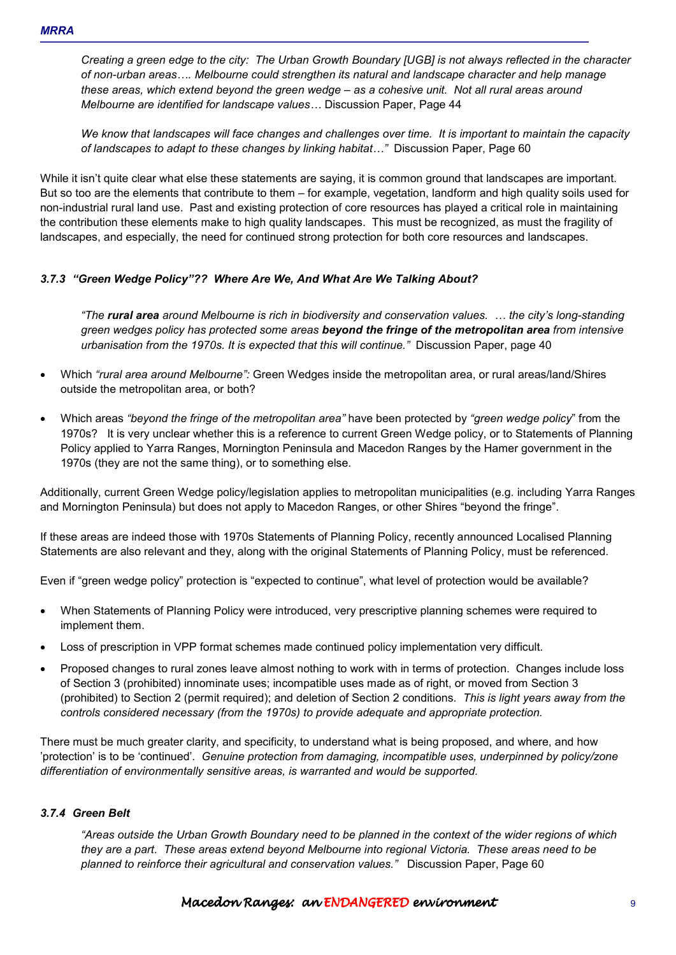*Creating a green edge to the city: The Urban Growth Boundary [UGB] is not always reflected in the character*  of non-urban areas.... Melbourne could strengthen its natural and landscape character and help manage *these areas, which extend beyond the green wedge – as a cohesive unit. Not all rural areas around Melbourne are identified for landscape values...* Discussion Paper, Page 44

*We know that landscapes will face changes and challenges over time. It is important to maintain the capacity of landscapes to adapt to these changes by linking habitat...*" Discussion Paper, Page 60

While it isn't quite clear what else these statements are saying, it is common ground that landscapes are important. But so too are the elements that contribute to them – for example, vegetation, landform and high quality soils used for non-industrial rural land use. Past and existing protection of core resources has played a critical role in maintaining the contribution these elements make to high quality landscapes. This must be recognized, as must the fragility of landscapes, and especially, the need for continued strong protection for both core resources and landscapes.

### *3.7.3 "Green Wedge Policy"?? Where Are We, And What Are We Talking About?*

*"The rural area around Melbourne is rich in biodiversity and conservation values. I the city's long-standing green wedges policy has protected some areas beyond the fringe of the metropolitan area from intensive urbanisation from the 1970s. It is expected that this will continue."* Discussion Paper, page 40

- Which *"rural area around Melbourne":* Green Wedges inside the metropolitan area, or rural areas/land/Shires outside the metropolitan area, or both?
- Which areas *"beyond the fringe of the metropolitan area"* have been protected by *"green wedge policy*" from the 1970s? It is very unclear whether this is a reference to current Green Wedge policy, or to Statements of Planning Policy applied to Yarra Ranges, Mornington Peninsula and Macedon Ranges by the Hamer government in the 1970s (they are not the same thing), or to something else.

Additionally, current Green Wedge policy/legislation applies to metropolitan municipalities (e.g. including Yarra Ranges and Mornington Peninsula) but does not apply to Macedon Ranges, or other Shires "beyond the fringe".

If these areas are indeed those with 1970s Statements of Planning Policy, recently announced Localised Planning Statements are also relevant and they, along with the original Statements of Planning Policy, must be referenced.

Even if "green wedge policy" protection is "expected to continue", what level of protection would be available?

- When Statements of Planning Policy were introduced, very prescriptive planning schemes were required to implement them.
- Loss of prescription in VPP format schemes made continued policy implementation very difficult.
- Proposed changes to rural zones leave almost nothing to work with in terms of protection. Changes include loss of Section 3 (prohibited) innominate uses; incompatible uses made as of right, or moved from Section 3 (prohibited) to Section 2 (permit required); and deletion of Section 2 conditions. *This is light years away from the controls considered necessary (from the 1970s) to provide adequate and appropriate protection.*

There must be much greater clarity, and specificity, to understand what is being proposed, and where, and how 'protection' is to be 'continued'. *Genuine protection from damaging, incompatible uses, underpinned by policy/zone differentiation of environmentally sensitive areas, is warranted and would be supported.* 

#### *3.7.4 Green Belt*

*"Areas outside the Urban Growth Boundary need to be planned in the context of the wider regions of which they are a part. These areas extend beyond Melbourne into regional Victoria. These areas need to be planned to reinforce their agricultural and conservation values."* Discussion Paper, Page 60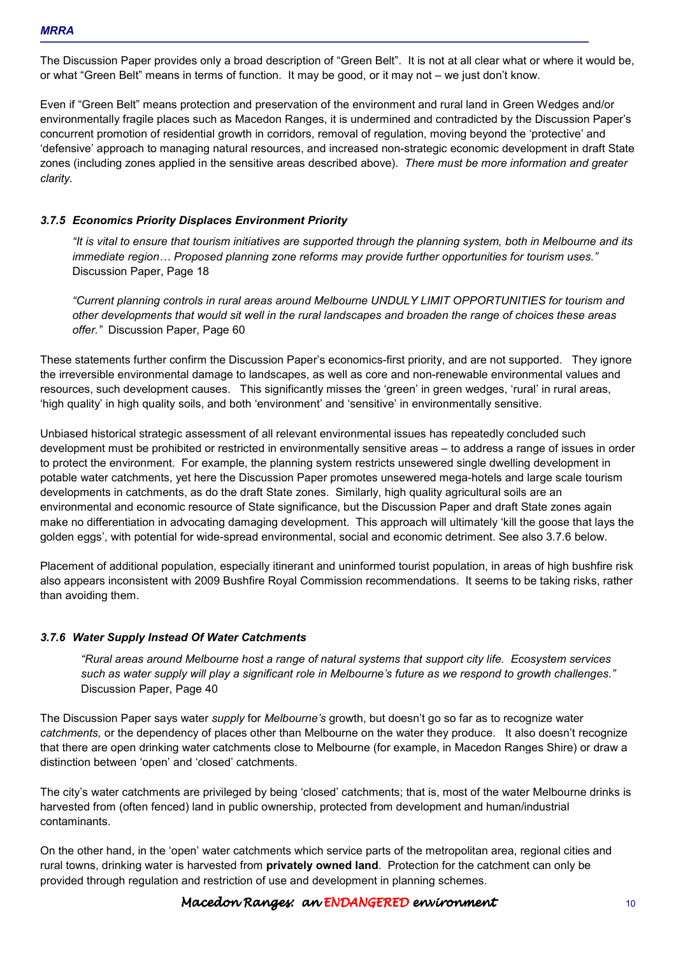The Discussion Paper provides only a broad description of "Green Belt". It is not at all clear what or where it would be, or what "Green Belt" means in terms of function. It may be good, or it may not – we just don't know.

Even if "Green Belt" means protection and preservation of the environment and rural land in Green Wedges and/or environmentally fragile places such as Macedon Ranges, it is undermined and contradicted by the Discussion Paper's concurrent promotion of residential growth in corridors, removal of regulation, moving beyond the 'protective' and 'defensive' approach to managing natural resources, and increased non-strategic economic development in draft State zones (including zones applied in the sensitive areas described above). *There must be more information and greater clarity.* 

#### *3.7.5 Economics Priority Displaces Environment Priority*

*"It is vital to ensure that tourism initiatives are supported through the planning system, both in Melbourne and its immediate region... Proposed planning zone reforms may provide further opportunities for tourism uses."* Discussion Paper, Page 18

*"Current planning controls in rural areas around Melbourne UNDULY LIMIT OPPORTUNITIES for tourism and other developments that would sit well in the rural landscapes and broaden the range of choices these areas offer."* Discussion Paper, Page 60

These statements further confirm the Discussion Paper's economics-first priority, and are not supported. They ignore the irreversible environmental damage to landscapes, as well as core and non-renewable environmental values and resources, such development causes. This significantly misses the 'green' in green wedges, 'rural' in rural areas, 'high quality' in high quality soils, and both 'environment' and 'sensitive' in environmentally sensitive.

Unbiased historical strategic assessment of all relevant environmental issues has repeatedly concluded such development must be prohibited or restricted in environmentally sensitive areas – to address a range of issues in order to protect the environment. For example, the planning system restricts unsewered single dwelling development in potable water catchments, yet here the Discussion Paper promotes unsewered mega-hotels and large scale tourism developments in catchments, as do the draft State zones. Similarly, high quality agricultural soils are an environmental and economic resource of State significance, but the Discussion Paper and draft State zones again make no differentiation in advocating damaging development. This approach will ultimately 'kill the goose that lays the golden eggs', with potential for wide-spread environmental, social and economic detriment. See also 3.7.6 below.

Placement of additional population, especially itinerant and uninformed tourist population, in areas of high bushfire risk also appears inconsistent with 2009 Bushfire Royal Commission recommendations. It seems to be taking risks, rather than avoiding them.

#### *3.7.6 Water Supply Instead Of Water Catchments*

*"Rural areas around Melbourne host a range of natural systems that support city life. Ecosystem services such as water supply will play a significant role in Melbourne's future as we respond to growth challenges."* Discussion Paper, Page 40

The Discussion Paper says water *supply* for *Melbourne's* growth, but doesn't go so far as to recognize water *catchments,* or the dependency of places other than Melbourne on the water they produce.It also doesn't recognize that there are open drinking water catchments close to Melbourne (for example, in Macedon Ranges Shire) or draw a distinction between 'open' and 'closed' catchments.

The city's water catchments are privileged by being 'closed' catchments; that is, most of the water Melbourne drinks is harvested from (often fenced) land in public ownership, protected from development and human/industrial contaminants.

On the other hand, in the 'open' water catchments which service parts of the metropolitan area, regional cities and rural towns, drinking water is harvested from **privately owned land**. Protection for the catchment can only be provided through regulation and restriction of use and development in planning schemes.

#### Macedon Ranges: an ENDANGERED environment environment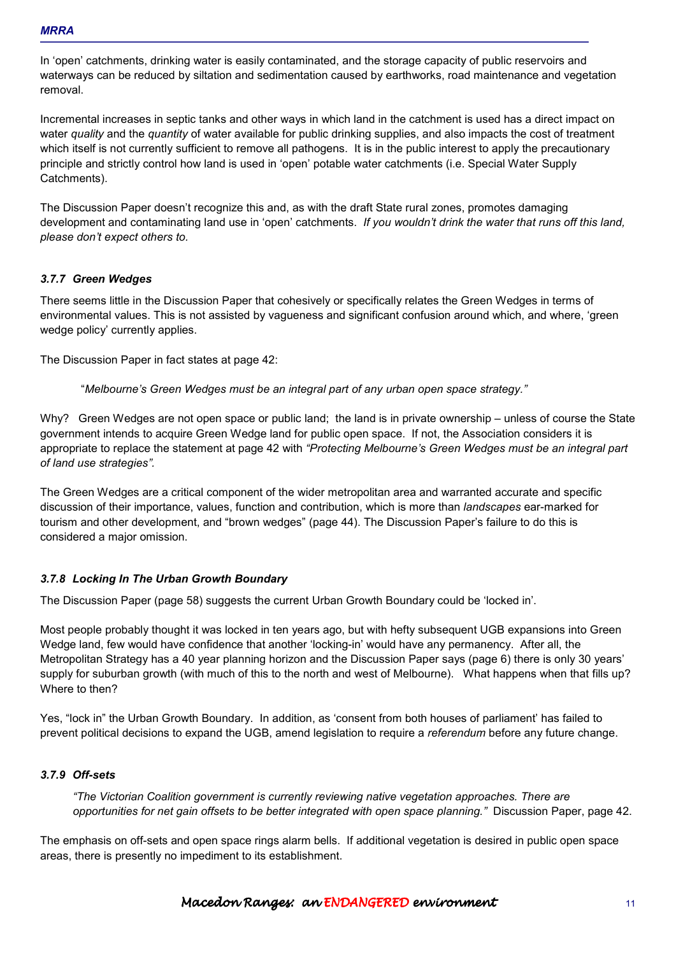In 'open' catchments, drinking water is easily contaminated, and the storage capacity of public reservoirs and waterways can be reduced by siltation and sedimentation caused by earthworks, road maintenance and vegetation removal.

Incremental increases in septic tanks and other ways in which land in the catchment is used has a direct impact on water *quality* and the *quantity* of water available for public drinking supplies, and also impacts the cost of treatment which itself is not currently sufficient to remove all pathogens. It is in the public interest to apply the precautionary principle and strictly control how land is used in 'open' potable water catchments (i.e. Special Water Supply Catchments).

The Discussion Paper doesn't recognize this and, as with the draft State rural zones, promotes damaging development and contaminating land use in 'open' catchments. *If you wouldn't drink the water that runs off this land, please don't expect others to.* 

#### *3.7.7 Green Wedges*

There seems little in the Discussion Paper that cohesively or specifically relates the Green Wedges in terms of environmental values. This is not assisted by vagueness and significant confusion around which, and where, 'green wedge policy' currently applies.

The Discussion Paper in fact states at page 42:

"*Melbourne's Green Wedges must be an integral part of any urban open space strategy."* 

Why? Green Wedges are not open space or public land; the land is in private ownership – unless of course the State government intends to acquire Green Wedge land for public open space. If not, the Association considers it is appropriate to replace the statement at page 42 with *"Protecting Melbourne's Green Wedges must be an integral part of land use strategies".* 

The Green Wedges are a critical component of the wider metropolitan area and warranted accurate and specific discussion of their importance, values, function and contribution, which is more than *landscapes* ear-marked for tourism and other development, and "brown wedges" (page 44). The Discussion Paper's failure to do this is considered a major omission.

#### *3.7.8 Locking In The Urban Growth Boundary*

The Discussion Paper (page 58) suggests the current Urban Growth Boundary could be 'locked in'.

Most people probably thought it was locked in ten years ago, but with hefty subsequent UGB expansions into Green Wedge land, few would have confidence that another 'locking-in' would have any permanency. After all, the Metropolitan Strategy has a 40 year planning horizon and the Discussion Paper says (page 6) there is only 30 years' supply for suburban growth (with much of this to the north and west of Melbourne). What happens when that fills up? Where to then?

Yes, "lock in" the Urban Growth Boundary. In addition, as 'consent from both houses of parliament' has failed to prevent political decisions to expand the UGB, amend legislation to require a *referendum* before any future change.

### *3.7.9 Off-sets*

*"The Victorian Coalition government is currently reviewing native vegetation approaches. There are opportunities for net gain offsets to be better integrated with open space planning."* Discussion Paper, page 42.

The emphasis on off-sets and open space rings alarm bells. If additional vegetation is desired in public open space areas, there is presently no impediment to its establishment.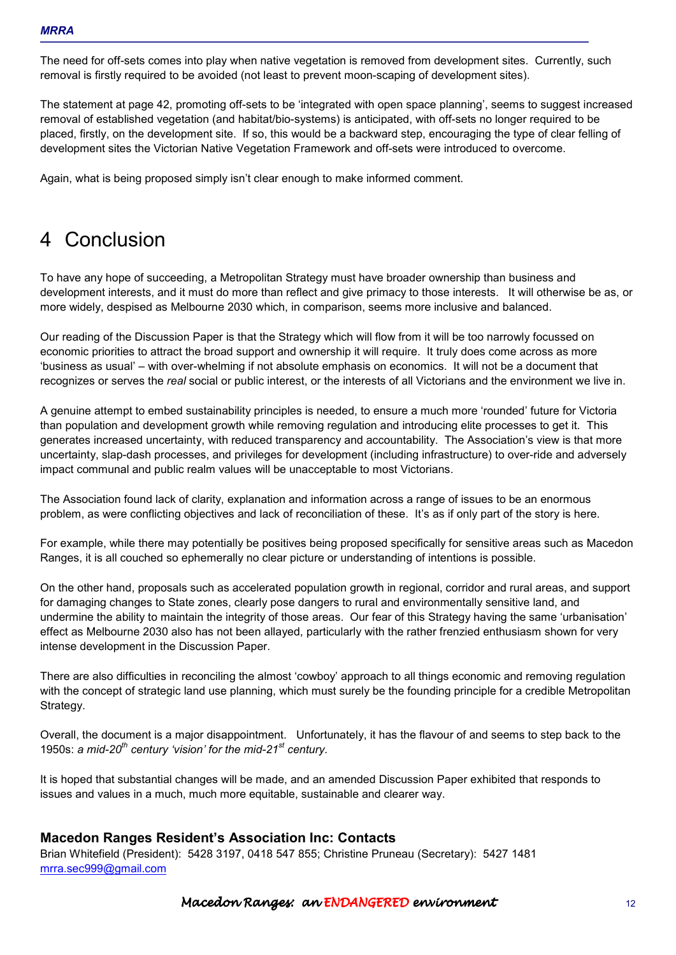The need for off-sets comes into play when native vegetation is removed from development sites. Currently, such removal is firstly required to be avoided (not least to prevent moon-scaping of development sites).

The statement at page 42, promoting off-sets to be 'integrated with open space planning', seems to suggest increased removal of established vegetation (and habitat/bio-systems) is anticipated, with off-sets no longer required to be placed, firstly, on the development site. If so, this would be a backward step, encouraging the type of clear felling of development sites the Victorian Native Vegetation Framework and off-sets were introduced to overcome.

Again, what is being proposed simply isn't clear enough to make informed comment.

# 4 Conclusion

To have any hope of succeeding, a Metropolitan Strategy must have broader ownership than business and development interests, and it must do more than reflect and give primacy to those interests. It will otherwise be as, or more widely, despised as Melbourne 2030 which, in comparison, seems more inclusive and balanced.

Our reading of the Discussion Paper is that the Strategy which will flow from it will be too narrowly focussed on economic priorities to attract the broad support and ownership it will require. It truly does come across as more 'business as usual' – with over-whelming if not absolute emphasis on economics. It will not be a document that recognizes or serves the *real* social or public interest, or the interests of all Victorians and the environment we live in.

A genuine attempt to embed sustainability principles is needed, to ensure a much more 'rounded' future for Victoria than population and development growth while removing regulation and introducing elite processes to get it. This generates increased uncertainty, with reduced transparency and accountability. The Association's view is that more uncertainty, slap-dash processes, and privileges for development (including infrastructure) to over-ride and adversely impact communal and public realm values will be unacceptable to most Victorians.

The Association found lack of clarity, explanation and information across a range of issues to be an enormous problem, as were conflicting objectives and lack of reconciliation of these. It's as if only part of the story is here.

For example, while there may potentially be positives being proposed specifically for sensitive areas such as Macedon Ranges, it is all couched so ephemerally no clear picture or understanding of intentions is possible.

On the other hand, proposals such as accelerated population growth in regional, corridor and rural areas, and support for damaging changes to State zones, clearly pose dangers to rural and environmentally sensitive land, and undermine the ability to maintain the integrity of those areas. Our fear of this Strategy having the same 'urbanisation' effect as Melbourne 2030 also has not been allayed, particularly with the rather frenzied enthusiasm shown for very intense development in the Discussion Paper.

There are also difficulties in reconciling the almost 'cowboy' approach to all things economic and removing regulation with the concept of strategic land use planning, which must surely be the founding principle for a credible Metropolitan Strategy.

Overall, the document is a major disappointment. Unfortunately, it has the flavour of and seems to step back to the 1950s: *a mid-20th century 'vision' for the mid-21st century.*

It is hoped that substantial changes will be made, and an amended Discussion Paper exhibited that responds to issues and values in a much, much more equitable, sustainable and clearer way.

## **Macedon Ranges Resident's Association Inc: Contacts**

Brian Whitefield (President): 5428 3197, 0418 547 855; Christine Pruneau (Secretary): 5427 1481 mrra.sec999@gmail.com